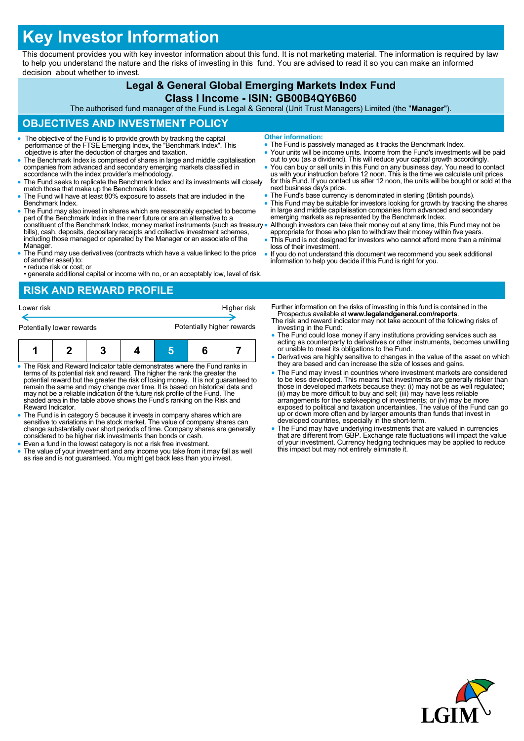# **Key Investor Information**

This document provides you with key investor information about this fund. It is not marketing material. The information is required by law to help you understand the nature and the risks of investing in this fund. You are advised to read it so you can make an informed decision about whether to invest.

## **Legal & General Global Emerging Markets Index Fund**

#### **Class I Income - ISIN: GB00B4QY6B60**

The authorised fund manager of the Fund is Legal & General (Unit Trust Managers) Limited (the "**Manager**").

## **OBJECTIVES AND INVESTMENT POLICY**

- The objective of the Fund is to provide growth by tracking the capital performance of the FTSE Emerging Index, the "Benchmark Index". This objective is after the deduction of charges and taxation.
- The Benchmark Index is comprised of shares in large and middle capitalisation companies from advanced and secondary emerging markets classified in accordance with the index provider's methodology.
- The Fund seeks to replicate the Benchmark Index and its investments will closely match those that make up the Benchmark Index.
- The Fund will have at least 80% exposure to assets that are included in the Benchmark Index.
- The Fund may also invest in shares which are reasonably expected to become part of the Benchmark Index in the near future or are an alternative to a constituent of the Benchmark Index, money market instruments (such as treasury bills), cash, deposits, depositary receipts and collective investment schemes, including those managed or operated by the Manager or an associate of the Manager.
- The Fund may use derivatives (contracts which have a value linked to the price of another asset) to:
- reduce risk or cost; or • generate additional capital or income with no, or an acceptably low, level of risk.

## **RISK AND REWARD PROFILE**



- The Risk and Reward Indicator table demonstrates where the Fund ranks in terms of its potential risk and reward. The higher the rank the greater the potential reward but the greater the risk of losing money. It is not guaranteed to remain the same and may change over time. It is based on historical data and may not be a reliable indication of the future risk profile of the Fund. The shaded area in the table above shows the Fund's ranking on the Risk and Reward Indicator.
- The Fund is in category 5 because it invests in company shares which are sensitive to variations in the stock market. The value of company shares can change substantially over short periods of time. Company shares are generally considered to be higher risk investments than bonds or cash.
- Even a fund in the lowest category is not a risk free investment.
- The value of your investment and any income you take from it may fall as well as rise and is not guaranteed. You might get back less than you invest.
- **Other information:**
- The Fund is passively managed as it tracks the Benchmark Index.
- Your units will be income units. Income from the Fund's investments will be paid out to you (as a dividend). This will reduce your capital growth accordingly.
- You can buy or sell units in this Fund on any business day. You need to contact<br>us with your instruction before 12 noon. This is the time we calculate unit prices<br>for this Fund. If you contact us after 12 noon, the units next business day's price.
- The Fund's base currency is denominated in sterling (British pounds).
- This Fund may be suitable for investors looking for growth by tracking the shares in large and middle capitalisation companies from advanced and secondary emerging markets as represented by the Benchmark Index.
- Although investors can take their money out at any time, this Fund may not be appropriate for those who plan to withdraw their money within five years.
	- This Fund is not designed for investors who cannot afford more than a minimal loss of their investment.
- If you do not understand this document we recommend you seek additional information to help you decide if this Fund is right for you.

Further information on the risks of investing in this fund is contained in the Prospectus available at **www.legalandgeneral.com/reports**.

- The risk and reward indicator may not take account of the following risks of investing in the Fund:
- The Fund could lose money if any institutions providing services such as acting as counterparty to derivatives or other instruments, becomes unwilling or unable to meet its obligations to the Fund.
- Derivatives are highly sensitive to changes in the value of the asset on which they are based and can increase the size of losses and gains.
- The Fund may invest in countries where investment markets are considered to be less developed. This means that investments are generally riskier than<br>those in developed markets because they: (i) may not be as well regulated;<br>(ii) may be more difficult to buy and sell; (iii) may have less reliab exposed to political and taxation uncertainties. The value of the Fund can go up or down more often and by larger amounts than funds that invest in developed countries, especially in the short-term.
- The Fund may have underlying investments that are valued in currencies that are different from GBP. Exchange rate fluctuations will impact the value of your investment. Currency hedging techniques may be applied to reduce this impact but may not entirely eliminate it.